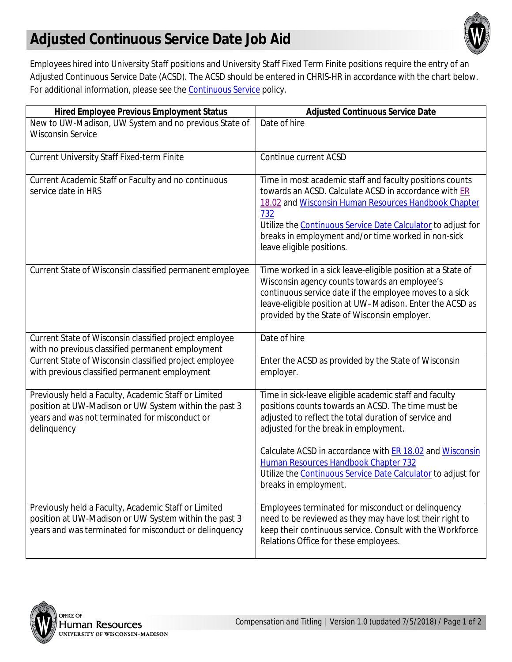## **Adjusted Continuous Service Date Job Aid**



Employees hired into University Staff positions and University Staff Fixed Term Finite positions require the entry of an Adjusted Continuous Service Date (ACSD). The ACSD should be entered in CHRIS-HR in accordance with the chart below. For additional information, please see the **Continuous Service** policy.

| <b>Hired Employee Previous Employment Status</b>                                                                                                                               | <b>Adjusted Continuous Service Date</b>                                                                                                                                                                                                                                                                                              |
|--------------------------------------------------------------------------------------------------------------------------------------------------------------------------------|--------------------------------------------------------------------------------------------------------------------------------------------------------------------------------------------------------------------------------------------------------------------------------------------------------------------------------------|
| New to UW-Madison, UW System and no previous State of<br><b>Wisconsin Service</b>                                                                                              | Date of hire                                                                                                                                                                                                                                                                                                                         |
| <b>Current University Staff Fixed-term Finite</b>                                                                                                                              | Continue current ACSD                                                                                                                                                                                                                                                                                                                |
| Current Academic Staff or Faculty and no continuous<br>service date in HRS                                                                                                     | Time in most academic staff and faculty positions counts<br>towards an ACSD. Calculate ACSD in accordance with ER<br>18.02 and Wisconsin Human Resources Handbook Chapter<br>732<br>Utilize the Continuous Service Date Calculator to adjust for<br>breaks in employment and/or time worked in non-sick<br>leave eligible positions. |
| Current State of Wisconsin classified permanent employee                                                                                                                       | Time worked in a sick leave-eligible position at a State of<br>Wisconsin agency counts towards an employee's<br>continuous service date if the employee moves to a sick<br>leave-eligible position at UW-Madison. Enter the ACSD as<br>provided by the State of Wisconsin employer.                                                  |
| Current State of Wisconsin classified project employee<br>with no previous classified permanent employment                                                                     | Date of hire                                                                                                                                                                                                                                                                                                                         |
| Current State of Wisconsin classified project employee<br>with previous classified permanent employment                                                                        | Enter the ACSD as provided by the State of Wisconsin<br>employer.                                                                                                                                                                                                                                                                    |
| Previously held a Faculty, Academic Staff or Limited<br>position at UW-Madison or UW System within the past 3<br>years and was not terminated for misconduct or<br>delinquency | Time in sick-leave eligible academic staff and faculty<br>positions counts towards an ACSD. The time must be<br>adjusted to reflect the total duration of service and<br>adjusted for the break in employment.                                                                                                                       |
|                                                                                                                                                                                | Calculate ACSD in accordance with ER 18.02 and Wisconsin<br>Human Resources Handbook Chapter 732<br>Utilize the <b>Continuous Service Date Calculator</b> to adjust for<br>breaks in employment.                                                                                                                                     |
| Previously held a Faculty, Academic Staff or Limited<br>position at UW-Madison or UW System within the past 3<br>years and was terminated for misconduct or delinquency        | Employees terminated for misconduct or delinquency<br>need to be reviewed as they may have lost their right to<br>keep their continuous service. Consult with the Workforce<br>Relations Office for these employees.                                                                                                                 |